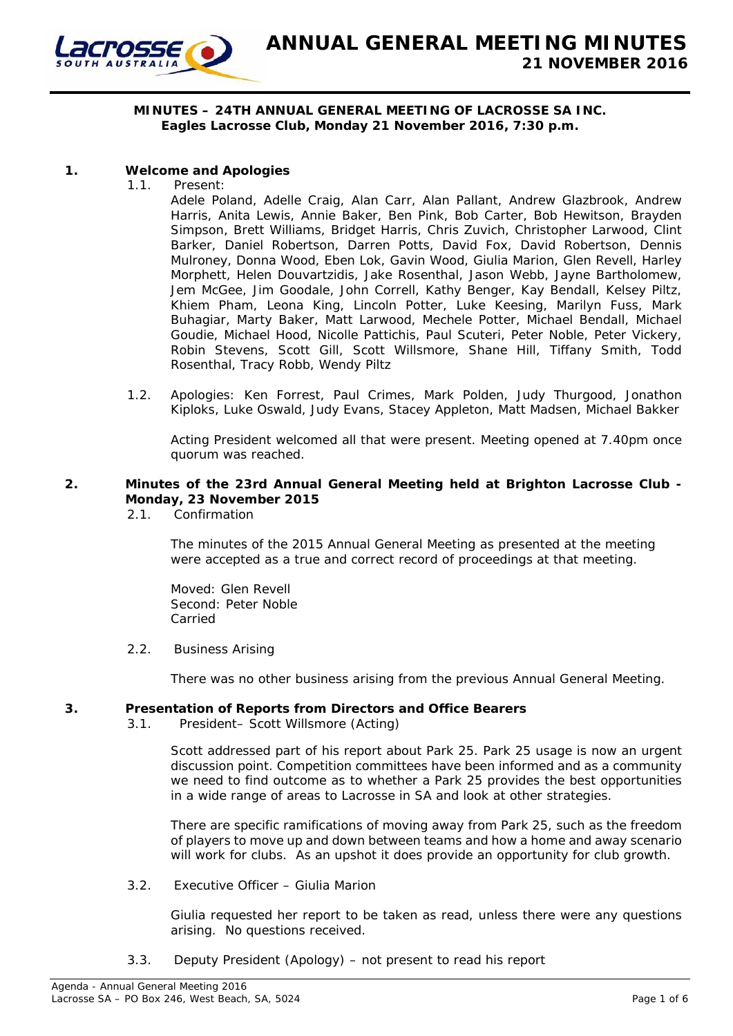

## **MINUTES – 24TH ANNUAL GENERAL MEETING OF LACROSSE SA INC. Eagles Lacrosse Club, Monday 21 November 2016, 7:30 p.m.**

# **1. Welcome and Apologies**

1.1. Present:

Adele Poland, Adelle Craig, Alan Carr, Alan Pallant, Andrew Glazbrook, Andrew Harris, Anita Lewis, Annie Baker, Ben Pink, Bob Carter, Bob Hewitson, Brayden Simpson, Brett Williams, Bridget Harris, Chris Zuvich, Christopher Larwood, Clint Barker, Daniel Robertson, Darren Potts, David Fox, David Robertson, Dennis Mulroney, Donna Wood, Eben Lok, Gavin Wood, Giulia Marion, Glen Revell, Harley Morphett, Helen Douvartzidis, Jake Rosenthal, Jason Webb, Jayne Bartholomew, Jem McGee, Jim Goodale, John Correll, Kathy Benger, Kay Bendall, Kelsey Piltz, Khiem Pham, Leona King, Lincoln Potter, Luke Keesing, Marilyn Fuss, Mark Buhagiar, Marty Baker, Matt Larwood, Mechele Potter, Michael Bendall, Michael Goudie, Michael Hood, Nicolle Pattichis, Paul Scuteri, Peter Noble, Peter Vickery, Robin Stevens, Scott Gill, Scott Willsmore, Shane Hill, Tiffany Smith, Todd Rosenthal, Tracy Robb, Wendy Piltz

1.2. Apologies: Ken Forrest, Paul Crimes, Mark Polden, Judy Thurgood, Jonathon Kiploks, Luke Oswald, Judy Evans, Stacey Appleton, Matt Madsen, Michael Bakker

Acting President welcomed all that were present. Meeting opened at 7.40pm once quorum was reached.

# **2. Minutes of the 23rd Annual General Meeting held at Brighton Lacrosse Club - Monday, 23 November 2015**

2.1. Confirmation

The minutes of the 2015 Annual General Meeting as presented at the meeting were accepted as a true and correct record of proceedings at that meeting.

Moved: Glen Revell Second: Peter Noble Carried

2.2. Business Arising

There was no other business arising from the previous Annual General Meeting.

# **3. Presentation of Reports from Directors and Office Bearers**

3.1. President– Scott Willsmore (Acting)

Scott addressed part of his report about Park 25. Park 25 usage is now an urgent discussion point. Competition committees have been informed and as a community we need to find outcome as to whether a Park 25 provides the best opportunities in a wide range of areas to Lacrosse in SA and look at other strategies.

There are specific ramifications of moving away from Park 25, such as the freedom of players to move up and down between teams and how a home and away scenario will work for clubs. As an upshot it does provide an opportunity for club growth.

3.2. Executive Officer – Giulia Marion

Giulia requested her report to be taken as read, unless there were any questions arising. No questions received.

3.3. Deputy President (Apology) – not present to read his report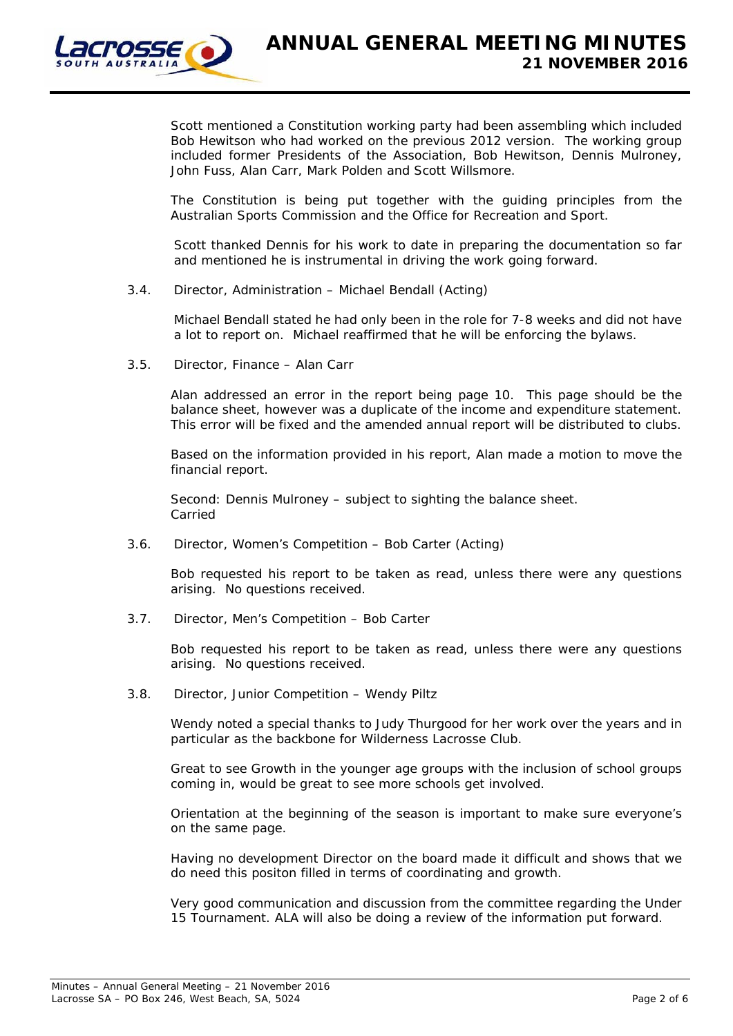

Scott mentioned a Constitution working party had been assembling which included Bob Hewitson who had worked on the previous 2012 version. The working group included former Presidents of the Association, Bob Hewitson, Dennis Mulroney, John Fuss, Alan Carr, Mark Polden and Scott Willsmore.

The Constitution is being put together with the guiding principles from the Australian Sports Commission and the Office for Recreation and Sport.

Scott thanked Dennis for his work to date in preparing the documentation so far and mentioned he is instrumental in driving the work going forward.

3.4. Director, Administration – Michael Bendall (Acting)

Michael Bendall stated he had only been in the role for 7-8 weeks and did not have a lot to report on. Michael reaffirmed that he will be enforcing the bylaws.

3.5. Director, Finance – Alan Carr

Alan addressed an error in the report being page 10. This page should be the balance sheet, however was a duplicate of the income and expenditure statement. This error will be fixed and the amended annual report will be distributed to clubs.

Based on the information provided in his report, Alan made a motion to move the financial report.

Second: Dennis Mulroney – subject to sighting the balance sheet. Carried

3.6. Director, Women's Competition – Bob Carter (Acting)

Bob requested his report to be taken as read, unless there were any questions arising. No questions received.

3.7. Director, Men's Competition – Bob Carter

Bob requested his report to be taken as read, unless there were any questions arising. No questions received.

3.8. Director, Junior Competition – Wendy Piltz

Wendy noted a special thanks to Judy Thurgood for her work over the years and in particular as the backbone for Wilderness Lacrosse Club.

Great to see Growth in the younger age groups with the inclusion of school groups coming in, would be great to see more schools get involved.

Orientation at the beginning of the season is important to make sure everyone's on the same page.

Having no development Director on the board made it difficult and shows that we do need this positon filled in terms of coordinating and growth.

Very good communication and discussion from the committee regarding the Under 15 Tournament. ALA will also be doing a review of the information put forward.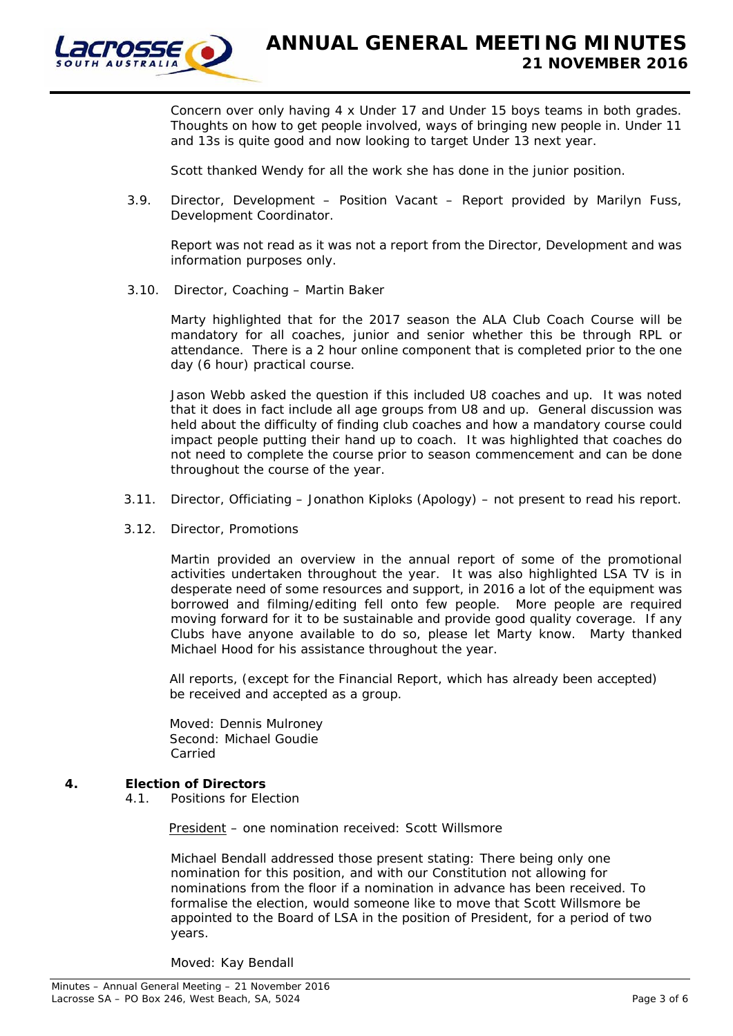

Concern over only having 4 x Under 17 and Under 15 boys teams in both grades. Thoughts on how to get people involved, ways of bringing new people in. Under 11 and 13s is quite good and now looking to target Under 13 next year.

Scott thanked Wendy for all the work she has done in the junior position.

3.9. Director, Development – Position Vacant – Report provided by Marilyn Fuss, Development Coordinator.

Report was not read as it was not a report from the Director, Development and was information purposes only.

3.10. Director, Coaching – Martin Baker

Marty highlighted that for the 2017 season the ALA Club Coach Course will be mandatory for all coaches, junior and senior whether this be through RPL or attendance. There is a 2 hour online component that is completed prior to the one day (6 hour) practical course.

Jason Webb asked the question if this included U8 coaches and up. It was noted that it does in fact include all age groups from U8 and up. General discussion was held about the difficulty of finding club coaches and how a mandatory course could impact people putting their hand up to coach. It was highlighted that coaches do not need to complete the course prior to season commencement and can be done throughout the course of the year.

- 3.11. Director, Officiating Jonathon Kiploks (Apology) not present to read his report.
- 3.12. Director, Promotions

Martin provided an overview in the annual report of some of the promotional activities undertaken throughout the year. It was also highlighted LSA TV is in desperate need of some resources and support, in 2016 a lot of the equipment was borrowed and filming/editing fell onto few people. More people are required moving forward for it to be sustainable and provide good quality coverage. If any Clubs have anyone available to do so, please let Marty know. Marty thanked Michael Hood for his assistance throughout the year.

All reports, (except for the Financial Report, which has already been accepted) be received and accepted as a group.

Moved: Dennis Mulroney Second: Michael Goudie Carried

## **4. Election of Directors**

4.1. Positions for Election

President – one nomination received: Scott Willsmore

Michael Bendall addressed those present stating: There being only one nomination for this position, and with our Constitution not allowing for nominations from the floor if a nomination in advance has been received. To formalise the election, would someone like to move that Scott Willsmore be appointed to the Board of LSA in the position of President, for a period of two years.

Moved: Kay Bendall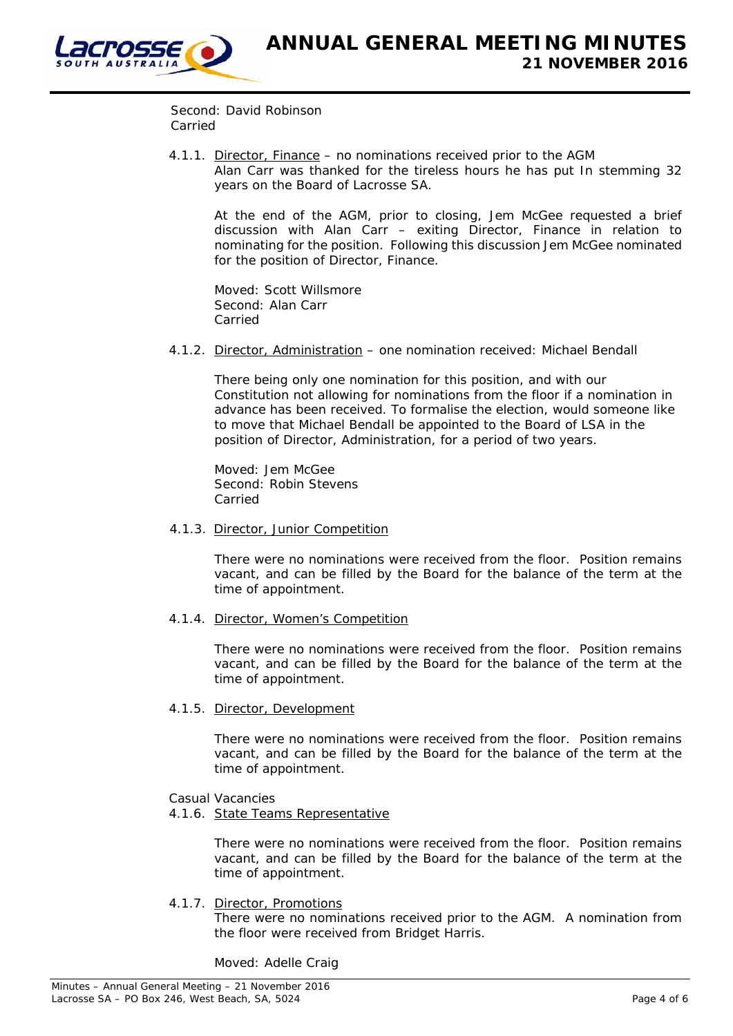

Second: David Robinson Carried

 4.1.1. Director, Finance – no nominations received prior to the AGM Alan Carr was thanked for the tireless hours he has put In stemming 32 years on the Board of Lacrosse SA.

At the end of the AGM, prior to closing, Jem McGee requested a brief discussion with Alan Carr – exiting Director, Finance in relation to nominating for the position. Following this discussion Jem McGee nominated for the position of Director, Finance.

Moved: Scott Willsmore Second: Alan Carr Carried

4.1.2. Director, Administration – one nomination received: Michael Bendall

There being only one nomination for this position, and with our Constitution not allowing for nominations from the floor if a nomination in advance has been received. To formalise the election, would someone like to move that Michael Bendall be appointed to the Board of LSA in the position of Director, Administration, for a period of two years.

Moved: Jem McGee Second: Robin Stevens Carried

4.1.3. Director, Junior Competition

There were no nominations were received from the floor. Position remains vacant, and can be filled by the Board for the balance of the term at the time of appointment.

4.1.4. Director, Women's Competition

There were no nominations were received from the floor. Position remains vacant, and can be filled by the Board for the balance of the term at the time of appointment.

4.1.5. Director, Development

There were no nominations were received from the floor. Position remains vacant, and can be filled by the Board for the balance of the term at the time of appointment.

## Casual Vacancies

# 4.1.6. State Teams Representative

There were no nominations were received from the floor. Position remains vacant, and can be filled by the Board for the balance of the term at the time of appointment.

## 4.1.7. Director, Promotions

There were no nominations received prior to the AGM. A nomination from the floor were received from Bridget Harris.

Moved: Adelle Craig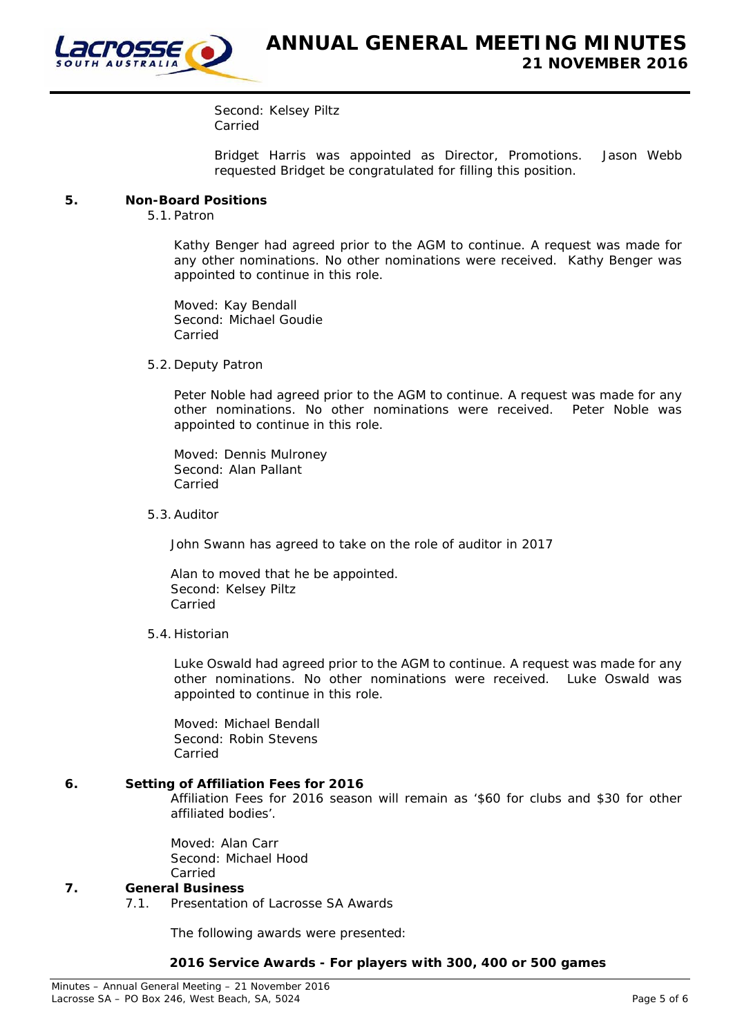

Second: Kelsey Piltz Carried

Bridget Harris was appointed as Director, Promotions. Jason Webb requested Bridget be congratulated for filling this position.

### **5. Non-Board Positions**

5.1. Patron

Kathy Benger had agreed prior to the AGM to continue. A request was made for any other nominations. No other nominations were received. Kathy Benger was appointed to continue in this role.

Moved: Kay Bendall Second: Michael Goudie Carried

5.2. Deputy Patron

Peter Noble had agreed prior to the AGM to continue. A request was made for any other nominations. No other nominations were received. Peter Noble was appointed to continue in this role.

Moved: Dennis Mulroney Second: Alan Pallant Carried

5.3.Auditor

John Swann has agreed to take on the role of auditor in 2017

Alan to moved that he be appointed. Second: Kelsey Piltz Carried

5.4. Historian

Luke Oswald had agreed prior to the AGM to continue. A request was made for any other nominations. No other nominations were received. Luke Oswald was appointed to continue in this role.

Moved: Michael Bendall Second: Robin Stevens Carried

#### **6. Setting of Affiliation Fees for 2016**

Affiliation Fees for 2016 season will remain as '\$60 for clubs and \$30 for other affiliated bodies'.

Moved: Alan Carr Second: Michael Hood Carried

## **7. General Business**

7.1. Presentation of Lacrosse SA Awards

The following awards were presented:

#### **2016 Service Awards - For players with 300, 400 or 500 games**